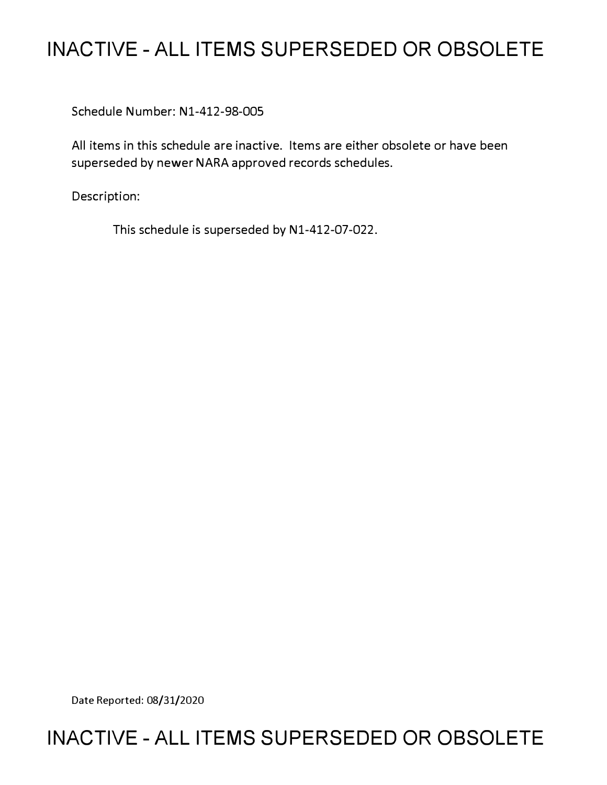# **INACTIVE - ALL ITEMS SUPERSEDED OR OBSOLETE**

Schedule Number: Nl-412-98-005

All items in this schedule are inactive. Items are either obsolete or have been superseded by newer NARA approved records schedules.

Description:

This schedule is superseded by Nl-412-07-022.

Date Reported: 08/31/2020

# **INACTIVE - ALL ITEMS SUPERSEDED OR OBSOLETE**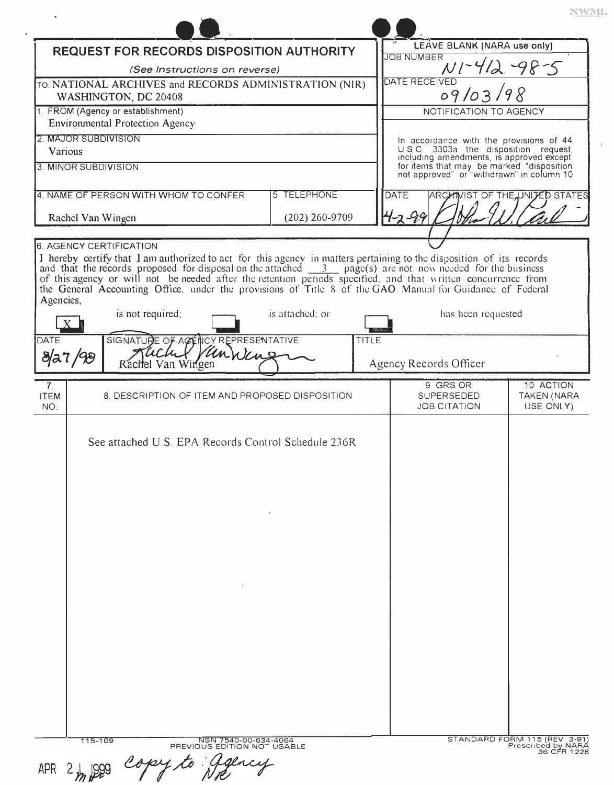| REQUEST FOR RECORDS DISPOSITION AUTHORITY                                                                                                                                                                                                                                                                                                                                                                                                                                     |                    |                        | LEAVE BLANK (NARA use only)                                                                                                                                                 |                                |
|-------------------------------------------------------------------------------------------------------------------------------------------------------------------------------------------------------------------------------------------------------------------------------------------------------------------------------------------------------------------------------------------------------------------------------------------------------------------------------|--------------------|------------------------|-----------------------------------------------------------------------------------------------------------------------------------------------------------------------------|--------------------------------|
| (See Instructions on reverse)                                                                                                                                                                                                                                                                                                                                                                                                                                                 |                    |                        | <b>JOB NUMBER</b><br>$N1 - 412 - 98 - 5$                                                                                                                                    |                                |
| TO: NATIONAL ARCHIVES and RECORDS ADMINISTRATION (NIR)                                                                                                                                                                                                                                                                                                                                                                                                                        |                    |                        | DATE RECEIVED                                                                                                                                                               |                                |
| WASHINGTON, DC 20408                                                                                                                                                                                                                                                                                                                                                                                                                                                          |                    |                        | 09/03/98                                                                                                                                                                    |                                |
| 1. FROM (Agency or establishment)                                                                                                                                                                                                                                                                                                                                                                                                                                             |                    | NOTIFICATION TO AGENCY |                                                                                                                                                                             |                                |
| <b>Environmental Protection Agency</b>                                                                                                                                                                                                                                                                                                                                                                                                                                        |                    |                        |                                                                                                                                                                             |                                |
| 2. MAJOR SUBDIVISION                                                                                                                                                                                                                                                                                                                                                                                                                                                          |                    |                        | In accordance with the provisions of 44                                                                                                                                     |                                |
| Various                                                                                                                                                                                                                                                                                                                                                                                                                                                                       |                    |                        |                                                                                                                                                                             |                                |
| 3. MINOR SUBDIVISION                                                                                                                                                                                                                                                                                                                                                                                                                                                          |                    |                        | U.S.C. 3303a the disposition request,<br>including amendments, is approved except<br>for items that may be marked "disposition<br>not approved" or "withdrawn" in column 10 |                                |
| 4. NAME OF PERSON WITH WHOM TO CONFER                                                                                                                                                                                                                                                                                                                                                                                                                                         | <b>5 TELEPHONE</b> |                        | DATE                                                                                                                                                                        | ARCHIVIST OF THE UNITED STATES |
| Rachel Van Wingen                                                                                                                                                                                                                                                                                                                                                                                                                                                             | $(202)$ 260-9709   |                        |                                                                                                                                                                             |                                |
|                                                                                                                                                                                                                                                                                                                                                                                                                                                                               |                    |                        |                                                                                                                                                                             |                                |
| <b>6. AGENCY CERTIFICATION</b>                                                                                                                                                                                                                                                                                                                                                                                                                                                |                    |                        |                                                                                                                                                                             |                                |
| I hereby certify that I am authorized to act for this agency in matters pertaining to the disposition of its records<br>and that the records proposed for disposal on the attached $\frac{3}{2}$ page(s) are not now needed for the<br>of this agency or will not be needed after the retention periods specified, and that written concurrence from<br>the General Accounting Office, under the provisions of Title 8 of the GAO Manual for Guidance of Federal<br>Agencies, |                    |                        |                                                                                                                                                                             |                                |
| is not required:                                                                                                                                                                                                                                                                                                                                                                                                                                                              | is attached; or    |                        | has been requested                                                                                                                                                          |                                |
| SIGNATURE OF ACENCY REPRESENTATIVE<br><b>DATE</b>                                                                                                                                                                                                                                                                                                                                                                                                                             |                    | TITLE                  |                                                                                                                                                                             |                                |
| VanWang<br>8/27/98<br>Rachel Van Wingen                                                                                                                                                                                                                                                                                                                                                                                                                                       |                    |                        | Agency Records Officer                                                                                                                                                      |                                |
| 7 <sub>1</sub>                                                                                                                                                                                                                                                                                                                                                                                                                                                                |                    |                        | 9 GRS OR                                                                                                                                                                    | 10 ACTION                      |
| <b>ITEM</b><br>8. DESCRIPTION OF ITEM AND PROPOSED DISPOSITION<br>NO.                                                                                                                                                                                                                                                                                                                                                                                                         |                    |                        | SUPERSEDED<br><b>JOB CITATION</b>                                                                                                                                           | TAKEN (NARA<br>USE ONLY)       |
| See attached U.S. EPA Records Control Schedule 236R                                                                                                                                                                                                                                                                                                                                                                                                                           |                    |                        |                                                                                                                                                                             |                                |
|                                                                                                                                                                                                                                                                                                                                                                                                                                                                               |                    |                        | STANDARD FORM 115 (REV 3-91                                                                                                                                                 |                                |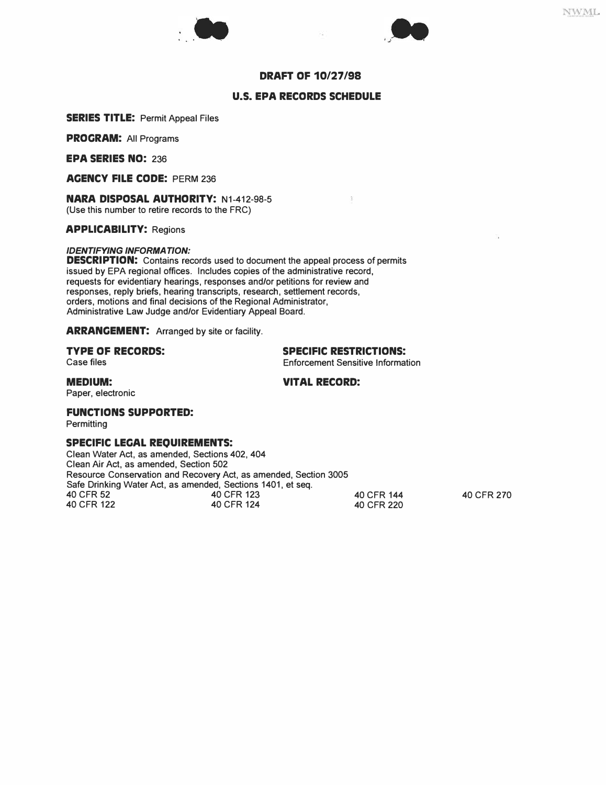



### **DRAFT OF 10/27/98**

### **U.S. EPA RECORDS SCHEDULE**

**SERIES TITLE:** Permit Appeal Files

**PROCRAM:** All Programs

**EPA SERIES NO:** 236

**ACENCY FILE CODE:** PERM 236

**NARA DISPOSAL AUTHORITY:** N1-412-98-5 (Use this number to retire records to the FRC)

**APPLICABILITY:** Regions

### *IDENTIFY/NG INFORMATION:*

**DESCRIPTION:** Contains records used to document the appeal process of permits issued by EPA regional offices. Includes copies of the administrative record, requests for evidentiary hearings, responses and/or petitions for review and responses, reply briefs, hearing transcripts, research, settlement records, orders, motions and final decisions of the Regional Administrator, Administrative Law Judge and/or Evidentiary Appeal Board.

### **ARRANGEMENT:** Arranged by site or facility.

## **TYPE OF RECORDS:** SPECIFIC RESTRICTIONS:<br>
Case files<br>
Sensitive Information of the Sensitive Information of the Sensitive Information of the Sensitive Information of the Sensitive Information of the Sensitive Information

**Enforcement Sensitive Information** 

O.

### **MEDIUM: VITAL RECORD:**

Paper, electronic

### **FUNCTIONS SUPPORTED:**

**Permitting** 

### **SPECIFIC LECAL REQUIREMENTS:**

Clean Water Act, as amended, Sections 402, 404 Clean Air Act, as amended, Section 502 Resource Conservation and Recovery Act, as amended, Section 3005 Safe Drinking Water Act, as amended, Sections 1401, et seq.<br>40 CFR 52 40 CFR 123 40 CFR 52 40 CFR 123 40 CFR 144 40 CFR 270 40 CFR 122 40 CFR 124 40 CFR 220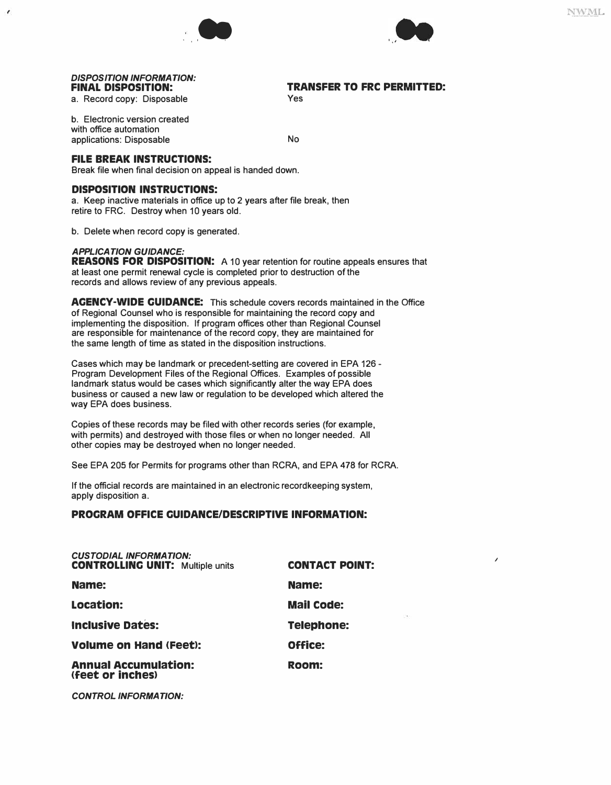



*I* 

## *DISPOSITION INFORMATION:*

a. Record copy: Disposable

 $\epsilon$ 

**TRANSFER TO FRC PERMITTED:** Yes

b. Electronic version created with office automation applications: Disposable No

### **FILE BREAK INSTRUCTIONS:**

Break file when final decision on appeal is handed down.

### **DISPOSITION INSTRUCTIONS:**

a. Keep inactive materials in office up to 2 years after file break, then retire to FRC. Destroy when 10 years old.

b. Delete when record copy is generated.

### *APPL/CATION GUIDANCE:*

**REASONS FOR DISPOSITION:** A 10 year retention for routine appeals ensures that at least one permit renewal cycle is completed prior to destruction of the records and allows review of any previous appeals.

**ACENCY-WIDE CUIDANCE:** This schedule covers records maintained in the Office of Regional Counsel who is responsible for maintaining the record copy and implementing the disposition. If program offices other than Regional Counsel are responsible for maintenance of the record copy, they are maintained for the same length of time as stated in the disposition instructions.

Cases which may be landmark or precedent-setting are covered in EPA 126 - Program Development Files of the Regional Offices. Examples of possible landmark status would be cases which significantly alter the way EPA does business or caused a new law or regulation to be developed which altered the way EPA does business.

Copies of these records may be filed with other records series (for example, with permits) and destroyed with those files or when no longer needed. All other copies may be destroyed when no longer needed.

See EPA 205 for Permits for programs other than RCRA, and EPA 478 for RCRA.

If the official records are maintained in an electronic recordkeeping system, apply disposition a.

### **PROCRAM OFFICE CUIDANCE/DESCRIPTIVE INFORMATION:**

| Name:<br>Name:<br>Location:<br><b>Mail Code:</b><br><b>Inclusive Dates:</b><br><b>Telephone:</b><br>Office:<br><b>Volume on Hand (Feet):</b><br><b>Annual Accumulation:</b><br>Room:<br>(feet or inches) | <b>CUSTODIAL INFORMATION:</b><br><b>CONTROLLING UNIT: Multiple units</b> | <b>CONTACT POINT:</b> |
|----------------------------------------------------------------------------------------------------------------------------------------------------------------------------------------------------------|--------------------------------------------------------------------------|-----------------------|
|                                                                                                                                                                                                          |                                                                          |                       |
|                                                                                                                                                                                                          |                                                                          |                       |
|                                                                                                                                                                                                          |                                                                          |                       |
|                                                                                                                                                                                                          |                                                                          |                       |
|                                                                                                                                                                                                          |                                                                          |                       |

*CONTROL INFORMA T/ON:*